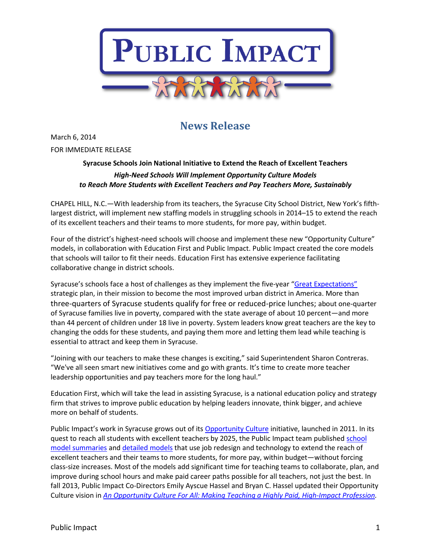

# **News Release**

March 6, 2014 FOR IMMEDIATE RELEASE

## **Syracuse Schools Join National Initiative to Extend the Reach of Excellent Teachers**  *High-Need Schools Will Implement Opportunity Culture Models to Reach More Students with Excellent Teachers and Pay Teachers More, Sustainably*

CHAPEL HILL, N.C.—With leadership from its teachers, the Syracuse City School District, New York's fifthlargest district, will implement new staffing models in struggling schools in 2014–15 to extend the reach of its excellent teachers and their teams to more students, for more pay, within budget.

Four of the district's highest-need schools will choose and implement these new "Opportunity Culture" models, in collaboration with Education First and Public Impact. Public Impact created the core models that schools will tailor to fit their needs. Education First has extensive experience facilitating collaborative change in district schools.

Syracuse's schools face a host of challenges as they implement the five-year "[Great Expectations](http://www.syracusecityschools.com/tfiles/folder87/Great-Expectations.pdf)" strategic plan, in their mission to become the most improved urban district in America. More than three-quarters of Syracuse students qualify for free or reduced-price lunches; about one-quarter of Syracuse families live in poverty, compared with the state average of about 10 percent—and more than 44 percent of children under 18 live in poverty. System leaders know great teachers are the key to changing the odds for these students, and paying them more and letting them lead while teaching is essential to attract and keep them in Syracuse.

"Joining with our teachers to make these changes is exciting," said Superintendent Sharon Contreras. "We've all seen smart new initiatives come and go with grants. It's time to create more teacher leadership opportunities and pay teachers more for the long haul."

Education First, which will take the lead in assisting Syracuse, is a national education policy and strategy firm that strives to improve public education by helping leaders innovate, think bigger, and achieve more on behalf of students.

Public Impact's work in Syracuse grows out of its [Opportunity Culture](http://www.opportunityculture.org/) initiative, launched in 2011. In its quest to reach all students with excellent teachers by 2025, the Public Impact team published [school](http://opportunityculture.org/reach/)  [model summaries](http://opportunityculture.org/reach/) an[d detailed models](http://opportunityculture.org/reach/school-models/) that use job redesign and technology to extend the reach of excellent teachers and their teams to more students, for more pay, within budget—without forcing class-size increases. Most of the models add significant time for teaching teams to collaborate, plan, and improve during school hours and make paid career paths possible for all teachers, not just the best. In fall 2013, Public Impact Co-Directors Emily Ayscue Hassel and Bryan C. Hassel updated their Opportunity Culture vision in *[An Opportunity Culture For All: Making Teaching a Highly Paid, High-Impact Profession.](http://opportunityculture.org/wp-content/uploads/2013/09/An_Opportunity_Culture_for_All-Public_Impact.pdf)*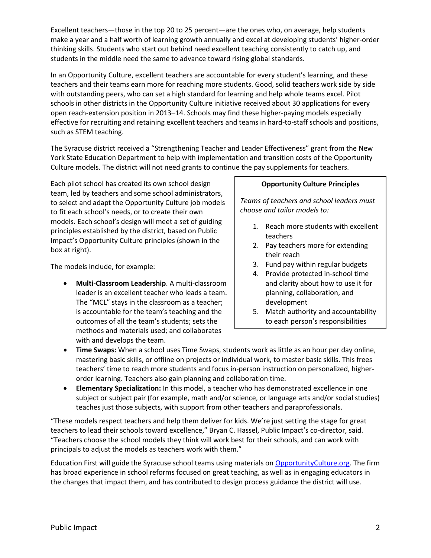Excellent teachers—those in the top 20 to 25 percent—are the ones who, on average, help students make a year and a half worth of learning growth annually and excel at developing students' higher-order thinking skills. Students who start out behind need excellent teaching consistently to catch up, and students in the middle need the same to advance toward rising global standards.

In an Opportunity Culture, excellent teachers are accountable for every student's learning, and these teachers and their teams earn more for reaching more students. Good, solid teachers work side by side with outstanding peers, who can set a high standard for learning and help whole teams excel. Pilot schools in other districts in the Opportunity Culture initiative received about 30 applications for every open reach-extension position in 2013–14. Schools may find these higher-paying models especially effective for recruiting and retaining excellent teachers and teams in hard-to-staff schools and positions, such as STEM teaching.

The Syracuse district received a "Strengthening Teacher and Leader Effectiveness" grant from the New York State Education Department to help with implementation and transition costs of the Opportunity Culture models. The district will not need grants to continue the pay supplements for teachers.

Each pilot school has created its own school design team, led by teachers and some school administrators, to select and adapt the Opportunity Culture job models to fit each school's needs, or to create their own models. Each school's design will meet a set of guiding principles established by the district, based on Public Impact's Opportunity Culture principles (shown in the box at right).

The models include, for example:

 **Multi-Classroom Leadership**. A multi-classroom leader is an excellent teacher who leads a team. The "MCL" stays in the classroom as a teacher; is accountable for the team's teaching and the outcomes of all the team's students; sets the methods and materials used; and collaborates with and develops the team.

#### **Opportunity Culture Principles**

*Teams of teachers and school leaders must choose and tailor models to:*

- 1. Reach more students with excellent teachers
- 2. Pay teachers more for extending their reach
- 3. Fund pay within regular budgets
- 4. Provide protected in-school time and clarity about how to use it for planning, collaboration, and development
- 5. Match authority and accountability to each person's responsibilities
- **Time Swaps:** When a school uses Time Swaps, students work as little as an hour per day online, mastering basic skills, or offline on projects or individual work, to master basic skills. This frees teachers' time to reach more students and focus in-person instruction on personalized, higherorder learning. Teachers also gain planning and collaboration time.
- **Elementary Specialization:** In this model, a teacher who has demonstrated excellence in one subject or subject pair (for example, math and/or science, or language arts and/or social studies) teaches just those subjects, with support from other teachers and paraprofessionals.

"These models respect teachers and help them deliver for kids. We're just setting the stage for great teachers to lead their schools toward excellence," Bryan C. Hassel, Public Impact's co-director, said. "Teachers choose the school models they think will work best for their schools, and can work with principals to adjust the models as teachers work with them."

Education First will guide the Syracuse school teams using materials on [OpportunityCulture.org.](http://www.opportunityculture.org/) The firm has broad experience in school reforms focused on great teaching, as well as in engaging educators in the changes that impact them, and has contributed to design process guidance the district will use.